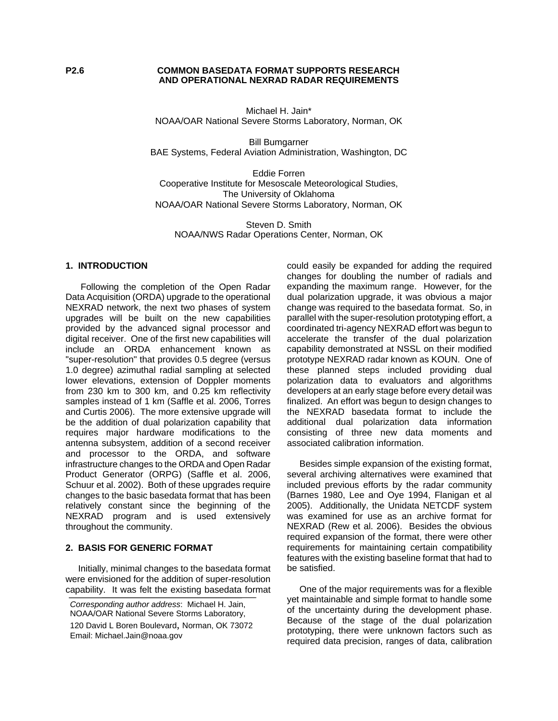#### **P2.6 COMMON BASEDATA FORMAT SUPPORTS RESEARCH AND OPERATIONAL NEXRAD RADAR REQUIREMENTS**

Michael H. Jain\* NOAA/OAR National Severe Storms Laboratory, Norman, OK

Bill Bumgarner BAE Systems, Federal Aviation Administration, Washington, DC

Eddie Forren Cooperative Institute for Mesoscale Meteorological Studies, The University of Oklahoma NOAA/OAR National Severe Storms Laboratory, Norman, OK

Steven D. Smith NOAA/NWS Radar Operations Center, Norman, OK

## **1. INTRODUCTION**

 Following the completion of the Open Radar Data Acquisition (ORDA) upgrade to the operational NEXRAD network, the next two phases of system upgrades will be built on the new capabilities provided by the advanced signal processor and digital receiver. One of the first new capabilities will include an ORDA enhancement known as "super-resolution" that provides 0.5 degree (versus 1.0 degree) azimuthal radial sampling at selected lower elevations, extension of Doppler moments from 230 km to 300 km, and 0.25 km reflectivity samples instead of 1 km (Saffle et al. 2006, Torres and Curtis 2006). The more extensive upgrade will be the addition of dual polarization capability that requires major hardware modifications to the antenna subsystem, addition of a second receiver and processor to the ORDA, and software infrastructure changes to the ORDA and Open Radar Product Generator (ORPG) (Saffle et al. 2006, Schuur et al. 2002). Both of these upgrades require changes to the basic basedata format that has been relatively constant since the beginning of the NEXRAD program and is used extensively throughout the community.

#### **2. BASIS FOR GENERIC FORMAT**

 Initially, minimal changes to the basedata format were envisioned for the addition of super-resolution capability. It was felt the existing basedata format could easily be expanded for adding the required changes for doubling the number of radials and expanding the maximum range. However, for the dual polarization upgrade, it was obvious a major change was required to the basedata format. So, in parallel with the super-resolution prototyping effort, a coordinated tri-agency NEXRAD effort was begun to accelerate the transfer of the dual polarization capability demonstrated at NSSL on their modified prototype NEXRAD radar known as KOUN. One of these planned steps included providing dual polarization data to evaluators and algorithms developers at an early stage before every detail was finalized. An effort was begun to design changes to the NEXRAD basedata format to include the additional dual polarization data information consisting of three new data moments and associated calibration information.

 Besides simple expansion of the existing format, several archiving alternatives were examined that included previous efforts by the radar community (Barnes 1980, Lee and Oye 1994, Flanigan et al 2005). Additionally, the Unidata NETCDF system was examined for use as an archive format for NEXRAD (Rew et al. 2006). Besides the obvious required expansion of the format, there were other requirements for maintaining certain compatibility features with the existing baseline format that had to be satisfied.

 One of the major requirements was for a flexible yet maintainable and simple format to handle some of the uncertainty during the development phase. Because of the stage of the dual polarization prototyping, there were unknown factors such as required data precision, ranges of data, calibration

*Corresponding author address*: Michael H. Jain, NOAA/OAR National Severe Storms Laboratory, 120 David L Boren Boulevard, Norman, OK 73072 Email: Michael.Jain@noaa.gov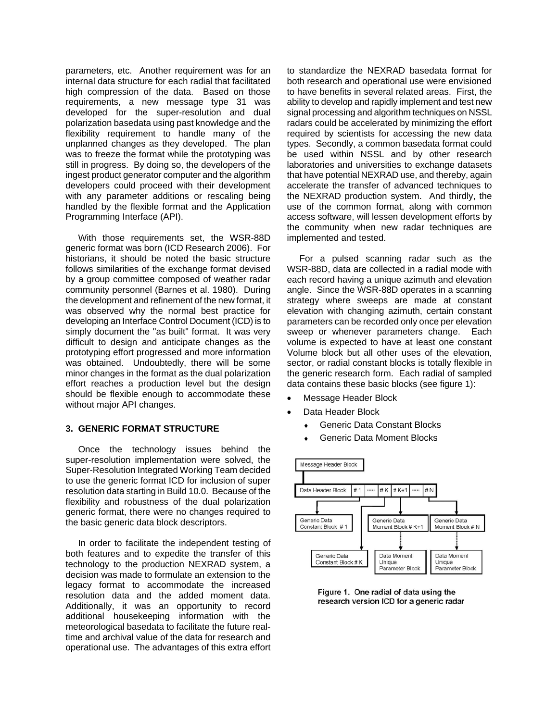parameters, etc. Another requirement was for an internal data structure for each radial that facilitated high compression of the data. Based on those requirements, a new message type 31 was developed for the super-resolution and dual polarization basedata using past knowledge and the flexibility requirement to handle many of the unplanned changes as they developed. The plan was to freeze the format while the prototyping was still in progress. By doing so, the developers of the ingest product generator computer and the algorithm developers could proceed with their development with any parameter additions or rescaling being handled by the flexible format and the Application Programming Interface (API).

 With those requirements set, the WSR-88D generic format was born (ICD Research 2006). For historians, it should be noted the basic structure follows similarities of the exchange format devised by a group committee composed of weather radar community personnel (Barnes et al. 1980). During the development and refinement of the new format, it was observed why the normal best practice for developing an Interface Control Document (ICD) is to simply document the "as built" format. It was very difficult to design and anticipate changes as the prototyping effort progressed and more information was obtained. Undoubtedly, there will be some minor changes in the format as the dual polarization effort reaches a production level but the design should be flexible enough to accommodate these without major API changes.

#### **3. GENERIC FORMAT STRUCTURE**

 Once the technology issues behind the super-resolution implementation were solved, the Super-Resolution Integrated Working Team decided to use the generic format ICD for inclusion of super resolution data starting in Build 10.0. Because of the flexibility and robustness of the dual polarization generic format, there were no changes required to the basic generic data block descriptors.

 In order to facilitate the independent testing of both features and to expedite the transfer of this technology to the production NEXRAD system, a decision was made to formulate an extension to the legacy format to accommodate the increased resolution data and the added moment data. Additionally, it was an opportunity to record additional housekeeping information with the meteorological basedata to facilitate the future realtime and archival value of the data for research and operational use. The advantages of this extra effort to standardize the NEXRAD basedata format for both research and operational use were envisioned to have benefits in several related areas. First, the ability to develop and rapidly implement and test new signal processing and algorithm techniques on NSSL radars could be accelerated by minimizing the effort required by scientists for accessing the new data types. Secondly, a common basedata format could be used within NSSL and by other research laboratories and universities to exchange datasets that have potential NEXRAD use, and thereby, again accelerate the transfer of advanced techniques to the NEXRAD production system. And thirdly, the use of the common format, along with common access software, will lessen development efforts by the community when new radar techniques are implemented and tested.

For a pulsed scanning radar such as the WSR-88D, data are collected in a radial mode with each record having a unique azimuth and elevation angle. Since the WSR-88D operates in a scanning strategy where sweeps are made at constant elevation with changing azimuth, certain constant parameters can be recorded only once per elevation sweep or whenever parameters change. Each volume is expected to have at least one constant Volume block but all other uses of the elevation, sector, or radial constant blocks is totally flexible in the generic research form. Each radial of sampled data contains these basic blocks (see figure 1):

- Message Header Block
- Data Header Block
	- **Generic Data Constant Blocks**
	- ♦ Generic Data Moment Blocks



Figure 1. One radial of data using the research version ICD for a generic radar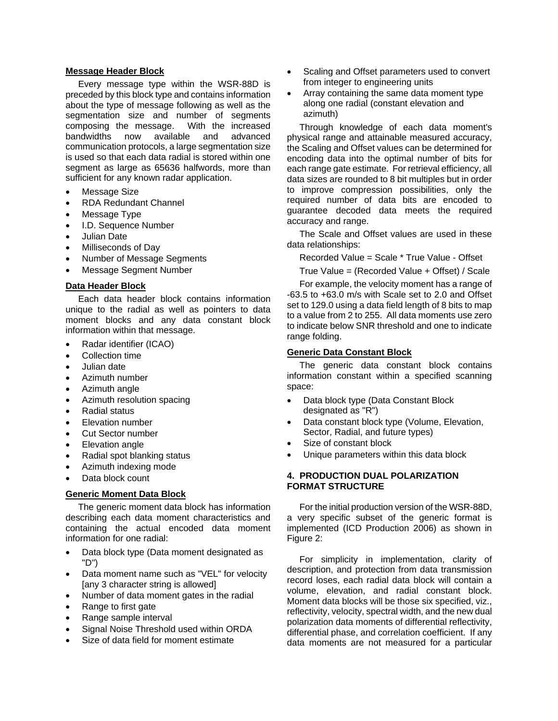### **Message Header Block**

 Every message type within the WSR-88D is preceded by this block type and contains information about the type of message following as well as the segmentation size and number of segments composing the message. With the increased bandwidths now available and advanced communication protocols, a large segmentation size is used so that each data radial is stored within one segment as large as 65636 halfwords, more than sufficient for any known radar application.

- Message Size
- RDA Redundant Channel
- Message Type
- I.D. Sequence Number
- Julian Date
- Milliseconds of Day
- Number of Message Segments
- Message Segment Number

## **Data Header Block**

 Each data header block contains information unique to the radial as well as pointers to data moment blocks and any data constant block information within that message.

- Radar identifier (ICAO)
- Collection time
- Julian date
- Azimuth number
- Azimuth angle
- Azimuth resolution spacing
- Radial status
- Elevation number
- Cut Sector number
- **Elevation angle**
- Radial spot blanking status
- Azimuth indexing mode
- Data block count

## **Generic Moment Data Block**

 The generic moment data block has information describing each data moment characteristics and containing the actual encoded data moment information for one radial:

- Data block type (Data moment designated as "D")
- Data moment name such as "VEL" for velocity [any 3 character string is allowed]
- Number of data moment gates in the radial
- Range to first gate
- Range sample interval
- Signal Noise Threshold used within ORDA
- Size of data field for moment estimate
- Scaling and Offset parameters used to convert from integer to engineering units
- Array containing the same data moment type along one radial (constant elevation and azimuth)

 Through knowledge of each data moment's physical range and attainable measured accuracy, the Scaling and Offset values can be determined for encoding data into the optimal number of bits for each range gate estimate. For retrieval efficiency, all data sizes are rounded to 8 bit multiples but in order to improve compression possibilities, only the required number of data bits are encoded to guarantee decoded data meets the required accuracy and range.

 The Scale and Offset values are used in these data relationships:

Recorded Value = Scale \* True Value - Offset

True Value = (Recorded Value + Offset) / Scale

 For example, the velocity moment has a range of -63.5 to +63.0 m/s with Scale set to 2.0 and Offset set to 129.0 using a data field length of 8 bits to map to a value from 2 to 255. All data moments use zero to indicate below SNR threshold and one to indicate range folding.

## **Generic Data Constant Block**

 The generic data constant block contains information constant within a specified scanning space:

- Data block type (Data Constant Block designated as "R")
- Data constant block type (Volume, Elevation, Sector, Radial, and future types)
- Size of constant block
- Unique parameters within this data block

## **4. PRODUCTION DUAL POLARIZATION FORMAT STRUCTURE**

 For the initial production version of the WSR-88D, a very specific subset of the generic format is implemented (ICD Production 2006) as shown in Figure 2:

 For simplicity in implementation, clarity of description, and protection from data transmission record loses, each radial data block will contain a volume, elevation, and radial constant block. Moment data blocks will be those six specified, viz., reflectivity, velocity, spectral width, and the new dual polarization data moments of differential reflectivity, differential phase, and correlation coefficient. If any data moments are not measured for a particular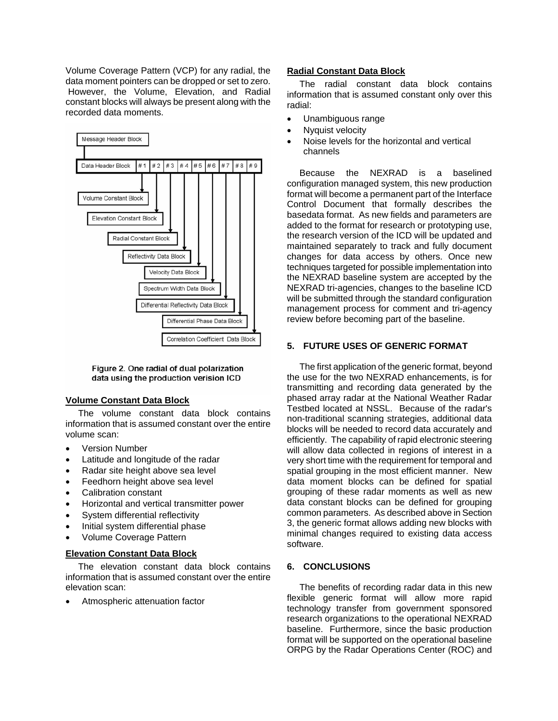Volume Coverage Pattern (VCP) for any radial, the data moment pointers can be dropped or set to zero. However, the Volume, Elevation, and Radial constant blocks will always be present along with the recorded data moments.



Figure 2. One radial of dual polarization data using the production verision ICD

## **Volume Constant Data Block**

 The volume constant data block contains information that is assumed constant over the entire volume scan:

- **Version Number**
- Latitude and longitude of the radar
- Radar site height above sea level
- Feedhorn height above sea level
- Calibration constant
- Horizontal and vertical transmitter power
- System differential reflectivity
- Initial system differential phase
- Volume Coverage Pattern

# **Elevation Constant Data Block**

 The elevation constant data block contains information that is assumed constant over the entire elevation scan:

• Atmospheric attenuation factor

## **Radial Constant Data Block**

 The radial constant data block contains information that is assumed constant only over this radial:

- Unambiguous range
- Nyquist velocity
- Noise levels for the horizontal and vertical channels

 Because the NEXRAD is a baselined configuration managed system, this new production format will become a permanent part of the Interface Control Document that formally describes the basedata format. As new fields and parameters are added to the format for research or prototyping use, the research version of the ICD will be updated and maintained separately to track and fully document changes for data access by others. Once new techniques targeted for possible implementation into the NEXRAD baseline system are accepted by the NEXRAD tri-agencies, changes to the baseline ICD will be submitted through the standard configuration management process for comment and tri-agency review before becoming part of the baseline.

# **5. FUTURE USES OF GENERIC FORMAT**

 The first application of the generic format, beyond the use for the two NEXRAD enhancements, is for transmitting and recording data generated by the phased array radar at the National Weather Radar Testbed located at NSSL. Because of the radar's non-traditional scanning strategies, additional data blocks will be needed to record data accurately and efficiently. The capability of rapid electronic steering will allow data collected in regions of interest in a very short time with the requirement for temporal and spatial grouping in the most efficient manner. New data moment blocks can be defined for spatial grouping of these radar moments as well as new data constant blocks can be defined for grouping common parameters. As described above in Section 3, the generic format allows adding new blocks with minimal changes required to existing data access software.

# **6. CONCLUSIONS**

 The benefits of recording radar data in this new flexible generic format will allow more rapid technology transfer from government sponsored research organizations to the operational NEXRAD baseline. Furthermore, since the basic production format will be supported on the operational baseline ORPG by the Radar Operations Center (ROC) and